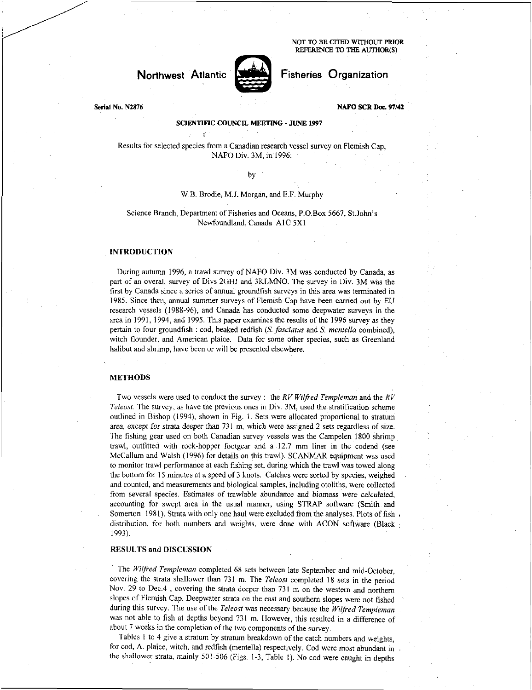NOT TO BE CITED WITHOUT PRIOR REFERENCE TO THE AUTHOR(S)

# **Northwest** Atlantic



# Fisheries Organization

Serial No. N2876

# NAFO SCE Doc. 97/42

#### SCIENTIFIC COUNCIL MEETING - JUNE 1997

Results for selected species from a Canadian research vessel survey on Flemish Cap, NAFO Div. 3M, in 1996.

#### by

## W.B. Brodie, M.J. Morgan, and E.F. Murphy

#### Science Branch, Department of Fisheries and Oceans, P.O.Box 5667, St.John's Newfoundland, Canada AIC 5X1

## INTRODUCTION

During autumn 1996, a trawl survey of NAFO Div. 3M was conducted by Canada, as part of an overall survey of Divs 2GHJ and 3KLMNO. The survey in Div. 3M was the first by Canada since a series of annual groundfish surveys in this area was terminated in 1985. Since then, annual summer surveys of Flemish Cap have been carried out by EU research vessels (1988-96), and Canada has conducted some deepwater surveys in the area in 1991, 1994, and 1995. This paper examines the results of the 1996 survey as they pertain to four groundfish : cod, beaked redfish *(S. fasciatus* and *S. mentella* combined), witch flounder, and American plaice. Data for some other species, such as Greenland halibut and shrimp, have been or will be presented elsewhere.

### METHODS

Two vessels were used to conduct the survey : the *RV Wilfred Templeman* and the *RV Teleost.* The survey, as have the previous ones in Div. 3M, used the stratification scheme outlined in Bishop (1994), shown in Fig. 1. Sets were allocated proportional to stratum *area, except for* strata *deeper* than 731 m, which were assigned 2 sets regardless of size. The fishing gear used on both Canadian survey vessels was the Campelen 1800 shrimp trawl, outfitted with rock-hopper footgear and a 12.7 mm liner in the codend (see McCallum and Walsh (1996) for details on this trawl). SCANMAR equipment was used to monitor trawl performance at each fishing set, during which the trawl was towed along the bottom for 15 minutes at a speed of 3 knots. Catches were sorted by species, weighed and counted, and measurements and biological samples, including otoliths, were collected from several species. Estimates of trawlable abundance and *biomass* were *calculated,*  accounting for swept area in the usual manner, using STRAP software (Smith and Somerton 1981). Strata with only one haul were excluded from the analyses. Plots of fish. distribution, for both numbers and weights, were done with ACON software (Black 1993).

## RESULTS and DISCUSSION

The *Wilfred Templeman* completed 68 sets between late September and mid-October, covering the strata shallower than 731 m. The *Teleost* completed 18 sets in the period Nov. 29 to Dec.4 , covering the strata deeper than 731 m on the western and northern slopes of Flemish Cap. Deepwater strata on the east and southern slopes were not fished during this survey. The use of the *Teleost* was necessary because the *Wilfred Templeman*  was not able to fish at depths beyond 731 m. However, this resulted in a difference of about 7 weeks in the completion of the two components of the survey.

Tables I to 4 give a stratum by stratum breakdown of the catch numbers and weights, for cod, A. plaice, witch, and redfish (mentella) respectively. Cod were most abundant in the shallower strata, mainly 501-506 (Figs. 1-3, Table I). No cod were caught in depths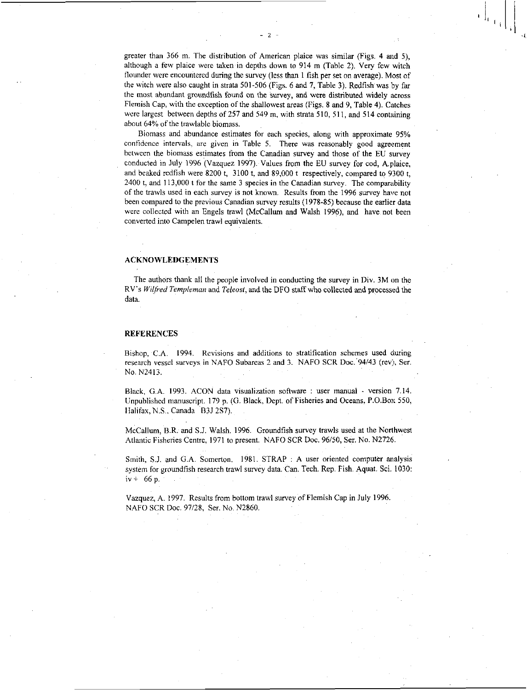greater than 366 m. The distribution of American plaice was similar (Figs. 4 and 5), although a few plaice were taken in depths down to 914 m (Table 2). Very few witch flounder were encountered during the survey (less than 1 fish per set on average). Most of the witch were also caught in strata 501-506 (Figs. 6 and 7, Table 3). Redfish was by far the most abundant groundfish found on the survey, and were distributed widely across Flemish Cap, with the exception of the shallowest areas (Figs. 8 and 9, Table 4). Catches were largest between depths of 257 and 549 m, with strata 510, 511, and 514 containing about 64% of the trawlable biomass.

 $- 2 -$ 

Biomass and abundance estimates for each species, along with approximate 95% confidence intervals, are given in Table 5. There was reasonably good agreement between the biomass estimates from the Canadian survey and those of the EU survey conducted in July 1996 (Vazquez 1997). Values from the EU survey for cod, A.plaice, and beaked redfish were 8200 t, 3100 t, and 89,000 t respectively, compared to 9300 t, 2400 t, and 113,000 t for the same 3 species in the Canadian survey. The comparability of the trawls used in each survey is not known. Results from the 1996 survey have not been compared to the previous Canadian survey results (1978-85) because the earlier data were collected with an Engels trawl (McCallum and Walsh 1996), and have not been converted into Campelen trawl equivalents.

#### ACKNOWLEDGEMENTS

The authors thank all the people involved in conducting the survey in Div. 3M on the RV's *Wilfred Templeman* and *Teleost,* and the DFO staff who collected and processed the data.

### **REFERENCES**

Bishop, C.A. 1994. Revisions and additions to stratification schemes used during research vessel surveys in NAFO Subareas 2 and 3. NAFO SCR Doc. 94/43 (rev), Ser. No. N2413.

Black, G.A. 1993. ACON data visualization software : user manual - version 7.14. Unpublished manuscript. 179 p. (G. Black, Dept. of Fisheries and Oceans, P.O.Box 550, Halifax, N.S., Canada B3J 2S7).

McCallum, B.A. and S.J. Walsh. 1996. Groundfish survey trawls used at the Northwest Atlantic Fisheries Centre, 1971 to present. NAFO SCR Doc. 96/50, Ser. No. N2726.

Smith, S.J. and G.A. Somerton. 1981. STRAP : A user oriented computer analysis system for groundfish research trawl survey data. Can. Tech. Rep. Fish. Aquat. Sci. 1030:  $iv + 66 p.$ 

Vazquez, A. 1997. Results from bottom trawl survey of Flemish Cap in July 1996. NAFO SCR Doc. 97/28, Ser. No. N2860.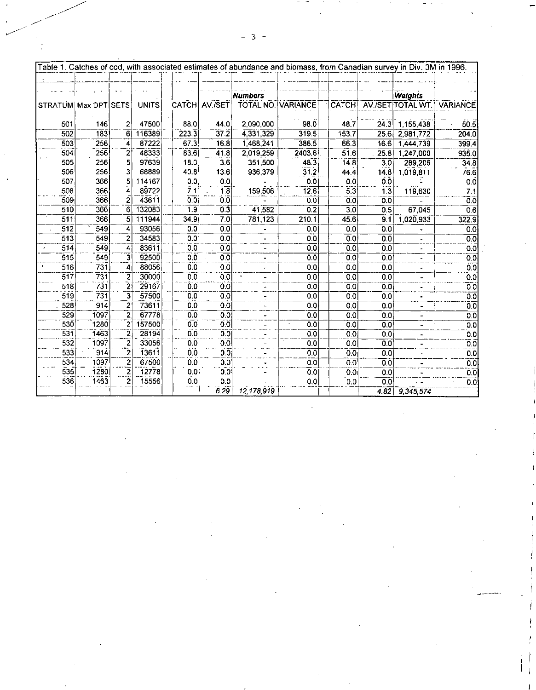|                      |      |                         |              |                  |                  | Table 1. Catches of cod, with associated estimates of abundance and biomass, from Canadian survey in Div. 3M in 1996. |                  |                    |                  |                   |                   |
|----------------------|------|-------------------------|--------------|------------------|------------------|-----------------------------------------------------------------------------------------------------------------------|------------------|--------------------|------------------|-------------------|-------------------|
|                      |      |                         |              |                  |                  |                                                                                                                       |                  |                    |                  |                   |                   |
|                      |      |                         |              |                  |                  |                                                                                                                       |                  |                    |                  |                   |                   |
|                      |      |                         |              |                  |                  | <b>Numbers</b>                                                                                                        |                  |                    |                  | <b>Weights</b>    |                   |
| STRATUM Max DPT SETS |      |                         | <b>UNITS</b> | CATCH            | AV./SET          | TOTAL NO.                                                                                                             | VARIANCE         | CATCH              |                  | AV./SET TOTAL WT. | <b>VARIANCE</b>   |
|                      |      |                         |              |                  |                  |                                                                                                                       |                  |                    |                  |                   |                   |
| 501                  | 146  | 2                       | 47500        | 88.0             | 44.0             | 2,090,000                                                                                                             | 98.0             | 48.7               | 24.3             | 1,155,438         | 50.5              |
| 502                  | 133  | 6                       | 116389       | 223.3            | 37.2             | 4,331,329                                                                                                             | 319.5            | 153.7              | 25.6             | 2,981,772         | 204.0             |
| 503                  | 256  | 4                       | 87222        | 67.3             | 16.8             | 1,468,241                                                                                                             | 386.5            | 66.3               | 16.6             | 1,444,739         | 399.4             |
| 504                  | 256  | 2                       | 48333        | 83.6             | 41.8             | 2,019,259                                                                                                             | 2403.6           | 51.6               | 25.8             | 1,247,000         | 935.0             |
| 505                  | 256  | 5                       | 97639        | 18.0             | $\overline{3}6$  | 351,500                                                                                                               | 48.3             | 14.8               | 3.0              | 289,206           | 34.8              |
| 506                  | 256  | 3                       | 68889        | 40.8             | 13.6             | 936,379                                                                                                               | 31.2             | 44.4               | 14.8             | 1,019,811         | 76.6              |
| 507                  | 366  | 5                       | 114167       | 0.0              | 0.0              |                                                                                                                       | 0.0              | 0.0                | $0.\overline{0}$ |                   | $0.\overline{0}$  |
| 508                  | 366  | 4                       | 89722        | 7.1              | 1.8              | 159,506                                                                                                               | 12.6             | 5.3                | 1.3              | 119,630           | 7.1               |
| 509                  | 366  | 2                       | 43611        | 0.0              | 0.0              |                                                                                                                       | 0.0              | 0.0                | 0.0              |                   | 0.0               |
| 510                  | 366  | 6                       | 132083       | 1.9              | 0.3              | 41,582                                                                                                                | 0.2              | 3.0                | 0.5              | 67,045            | 0.6               |
| 511                  | 366  | 5                       | 111944       | 34.9             | 7.0              | 781,123                                                                                                               | 210.1            | 45.6               | 9.1              | 1,020,933         | 322.9             |
| $\overline{512}$     | 549  | 4                       | 93056        | 0.0              | $\overline{0.0}$ |                                                                                                                       | 0.0              | 0.0                | 0.0              |                   | 0.0               |
| 513                  | 549  | $\overline{2}$          | 34583        | 0.0              | 0.0              |                                                                                                                       | 0.0              | $\overline{0.0}$   | 0,0              |                   | 0.0               |
| 514                  | 549  | 4                       | 83611        | 0.0              | 00               |                                                                                                                       | 0.0              | 0.0                | 0.0              |                   | 0.0               |
| 515                  | 549  | $\overline{\mathbf{3}}$ | 92500        | 0.0              | 0 <sub>0</sub>   |                                                                                                                       | 0.0              | 0.0                | 0.0              |                   | 0.0               |
| 516                  | 731  | 4                       | 88056        | 0.0              | 0.0              |                                                                                                                       | 0.0              | 0.0                | 0.0              |                   | 0.0               |
| 517                  | 731  | 2                       | 30000        | 0.0              | 0.0              |                                                                                                                       | 0.0              | 0.0                | 0.0              |                   | 0.0               |
| 518                  | 731  | $\bar{2}$               | 29167        | 0.0              | 0.0              |                                                                                                                       | 0.0              | 0.0                | $\overline{0.0}$ |                   | 0.0               |
| 519                  | 731  | $\overline{3}$          | 57500        | 0.0              | 0.0              |                                                                                                                       | $\overline{0.0}$ | $\overline{\circ}$ | 0.0              |                   | $\overline{0.0}$  |
| $\overline{528}$     | 914  | $\overline{2}$          | 73611        | $\overline{0.0}$ | 0.0              |                                                                                                                       | 0.0              | 0.0                | 0.0              |                   | 0.0               |
| 529                  | 1097 | $\overline{2}$          | 67778        | 0.01             | 0.0              |                                                                                                                       | 0.0              | 0.0                | 0.0              |                   | 0.0               |
| 530                  | 1280 | 2                       | 157500       | 0.0              | 0,0              |                                                                                                                       | 0.0              | 0.0                | 0.0              |                   | 0.0               |
| 531                  | 1463 | 2                       | 28194        | 0.0              | 0.0              |                                                                                                                       | 0.0              | 0.0                | 0.0              |                   | 0.0               |
| 532                  | 1097 | 2                       | 33056        | 0.0              | 0.0              |                                                                                                                       | 0.0              | 0.0                | 0.0              |                   | $\overline{0}$ .0 |
| 533                  | 914  | $\overline{2}$          | 13611        | 0.0 <sub>1</sub> | $0.\overline{0}$ |                                                                                                                       | 0.0              | 0.0                | 0.0              |                   | 0.0               |
| 534                  | 1097 | $\overline{2}$          | 67500        | 0.0              | 0.0              |                                                                                                                       | 0.0              | 0.0                | 0.0              |                   | 0.0               |
| 535                  | 1280 | $\overline{2}$          | 12778        | 0.0              | 0.0              |                                                                                                                       | 0.0              | 0.0                | 0.0              |                   | 0.0               |
| 536                  | 1463 | $\overline{2}$          | 15556        | 0.0              | 0.0              |                                                                                                                       | $0.\overline{0}$ | 0.0                | 0.0              |                   | 0.0               |
|                      |      |                         |              |                  | 6.29             | 12,178,919                                                                                                            |                  |                    | 4.82             | 9 345 574         |                   |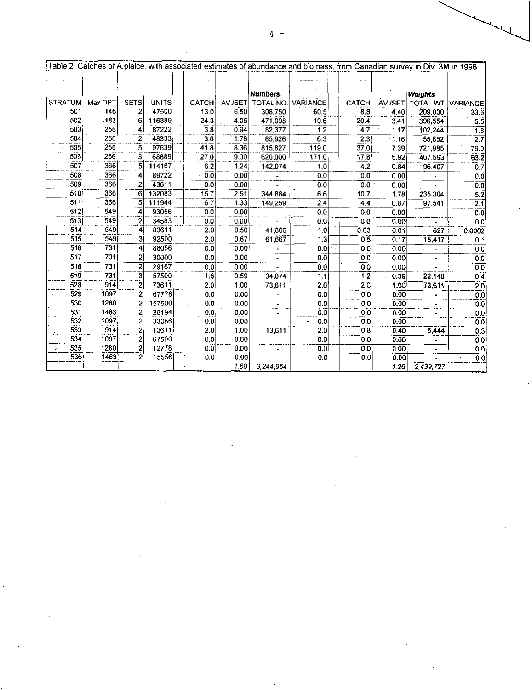| Weights<br>AV./SET TOTAL WT. VARIANCE<br>4,40<br>3.41<br>1.17<br>$\cdot$ 1.16                                        | <b>CATCH</b><br>8.8<br>20.4<br>4.7 | <b>VARIANCE</b><br>60.5<br>10.6                                                                                                                                             | <b>Numbers</b><br>TOTAL NO.<br>308,750                                                                                                                                                               | AV./SET                                                                                |                                                                                                                                                                      |                                                                                                                                                                                                                                                                                          |              |                                                                                                                                                                                              |                                                                                                                                                                                                                                                                    |                                                                                                                                                        |
|----------------------------------------------------------------------------------------------------------------------|------------------------------------|-----------------------------------------------------------------------------------------------------------------------------------------------------------------------------|------------------------------------------------------------------------------------------------------------------------------------------------------------------------------------------------------|----------------------------------------------------------------------------------------|----------------------------------------------------------------------------------------------------------------------------------------------------------------------|------------------------------------------------------------------------------------------------------------------------------------------------------------------------------------------------------------------------------------------------------------------------------------------|--------------|----------------------------------------------------------------------------------------------------------------------------------------------------------------------------------------------|--------------------------------------------------------------------------------------------------------------------------------------------------------------------------------------------------------------------------------------------------------------------|--------------------------------------------------------------------------------------------------------------------------------------------------------|
|                                                                                                                      |                                    |                                                                                                                                                                             |                                                                                                                                                                                                      |                                                                                        |                                                                                                                                                                      |                                                                                                                                                                                                                                                                                          |              |                                                                                                                                                                                              |                                                                                                                                                                                                                                                                    |                                                                                                                                                        |
|                                                                                                                      |                                    |                                                                                                                                                                             |                                                                                                                                                                                                      |                                                                                        | CATCH                                                                                                                                                                |                                                                                                                                                                                                                                                                                          | <b>UNITS</b> | <b>SETS</b>                                                                                                                                                                                  | Max DPT                                                                                                                                                                                                                                                            | <b>STRATUM</b>                                                                                                                                         |
|                                                                                                                      |                                    |                                                                                                                                                                             |                                                                                                                                                                                                      | 650                                                                                    | 13.0                                                                                                                                                                 |                                                                                                                                                                                                                                                                                          | 47500        | $\overline{\mathbf{z}}$                                                                                                                                                                      | 146                                                                                                                                                                                                                                                                | 501                                                                                                                                                    |
|                                                                                                                      |                                    |                                                                                                                                                                             | 471,098                                                                                                                                                                                              | 4.05                                                                                   | 243                                                                                                                                                                  |                                                                                                                                                                                                                                                                                          | 116389       | 6                                                                                                                                                                                            | .183                                                                                                                                                                                                                                                               | 502                                                                                                                                                    |
|                                                                                                                      |                                    | $1.\overline{2}$                                                                                                                                                            | 82,377                                                                                                                                                                                               | 0.94                                                                                   | $\overline{3.8}$                                                                                                                                                     |                                                                                                                                                                                                                                                                                          | 87222        | $\overline{4}$                                                                                                                                                                               | 256                                                                                                                                                                                                                                                                | 503                                                                                                                                                    |
|                                                                                                                      | 2.3                                | 6.3                                                                                                                                                                         | 85,926                                                                                                                                                                                               | 178                                                                                    | 3.6                                                                                                                                                                  |                                                                                                                                                                                                                                                                                          | 48333        | $\overline{\bf 2}$                                                                                                                                                                           | 256                                                                                                                                                                                                                                                                | 504                                                                                                                                                    |
| 7.39                                                                                                                 | 37.0                               | 119.0                                                                                                                                                                       | 815,827                                                                                                                                                                                              | 8.36                                                                                   | 41.8                                                                                                                                                                 |                                                                                                                                                                                                                                                                                          | 97639        | $\overline{5}$                                                                                                                                                                               | 256                                                                                                                                                                                                                                                                | 505                                                                                                                                                    |
| 5.92                                                                                                                 | 17.8                               | 171.0                                                                                                                                                                       | 620,000                                                                                                                                                                                              | 9.00                                                                                   | 27.0                                                                                                                                                                 |                                                                                                                                                                                                                                                                                          | 68889        | $\overline{\mathbf{3}}$                                                                                                                                                                      | 256                                                                                                                                                                                                                                                                | 506                                                                                                                                                    |
| 0.84                                                                                                                 | 4.2                                | 1.0                                                                                                                                                                         | 142,074                                                                                                                                                                                              | 1.24                                                                                   | 62                                                                                                                                                                   |                                                                                                                                                                                                                                                                                          | $5 - 114167$ |                                                                                                                                                                                              | 366                                                                                                                                                                                                                                                                | 507                                                                                                                                                    |
| 0.00                                                                                                                 |                                    |                                                                                                                                                                             |                                                                                                                                                                                                      |                                                                                        |                                                                                                                                                                      |                                                                                                                                                                                                                                                                                          |              |                                                                                                                                                                                              |                                                                                                                                                                                                                                                                    | 508                                                                                                                                                    |
| 0.00                                                                                                                 |                                    |                                                                                                                                                                             |                                                                                                                                                                                                      |                                                                                        |                                                                                                                                                                      |                                                                                                                                                                                                                                                                                          |              |                                                                                                                                                                                              |                                                                                                                                                                                                                                                                    | 509                                                                                                                                                    |
| 1.78                                                                                                                 |                                    |                                                                                                                                                                             |                                                                                                                                                                                                      |                                                                                        |                                                                                                                                                                      |                                                                                                                                                                                                                                                                                          |              |                                                                                                                                                                                              |                                                                                                                                                                                                                                                                    | 510                                                                                                                                                    |
| 0.87                                                                                                                 |                                    |                                                                                                                                                                             |                                                                                                                                                                                                      |                                                                                        |                                                                                                                                                                      |                                                                                                                                                                                                                                                                                          |              |                                                                                                                                                                                              |                                                                                                                                                                                                                                                                    | 511                                                                                                                                                    |
|                                                                                                                      |                                    |                                                                                                                                                                             |                                                                                                                                                                                                      |                                                                                        |                                                                                                                                                                      |                                                                                                                                                                                                                                                                                          |              |                                                                                                                                                                                              |                                                                                                                                                                                                                                                                    | $\overline{512}$                                                                                                                                       |
| 0.00                                                                                                                 |                                    |                                                                                                                                                                             |                                                                                                                                                                                                      |                                                                                        |                                                                                                                                                                      |                                                                                                                                                                                                                                                                                          |              |                                                                                                                                                                                              |                                                                                                                                                                                                                                                                    | 513                                                                                                                                                    |
|                                                                                                                      |                                    |                                                                                                                                                                             |                                                                                                                                                                                                      |                                                                                        |                                                                                                                                                                      |                                                                                                                                                                                                                                                                                          |              |                                                                                                                                                                                              |                                                                                                                                                                                                                                                                    | 514                                                                                                                                                    |
|                                                                                                                      |                                    |                                                                                                                                                                             |                                                                                                                                                                                                      |                                                                                        |                                                                                                                                                                      |                                                                                                                                                                                                                                                                                          |              |                                                                                                                                                                                              |                                                                                                                                                                                                                                                                    | 515                                                                                                                                                    |
|                                                                                                                      |                                    |                                                                                                                                                                             |                                                                                                                                                                                                      |                                                                                        |                                                                                                                                                                      |                                                                                                                                                                                                                                                                                          |              |                                                                                                                                                                                              |                                                                                                                                                                                                                                                                    | 516                                                                                                                                                    |
|                                                                                                                      |                                    |                                                                                                                                                                             |                                                                                                                                                                                                      |                                                                                        |                                                                                                                                                                      |                                                                                                                                                                                                                                                                                          |              |                                                                                                                                                                                              |                                                                                                                                                                                                                                                                    | 517                                                                                                                                                    |
|                                                                                                                      |                                    |                                                                                                                                                                             |                                                                                                                                                                                                      |                                                                                        |                                                                                                                                                                      |                                                                                                                                                                                                                                                                                          |              |                                                                                                                                                                                              |                                                                                                                                                                                                                                                                    | 518                                                                                                                                                    |
|                                                                                                                      |                                    |                                                                                                                                                                             |                                                                                                                                                                                                      |                                                                                        |                                                                                                                                                                      |                                                                                                                                                                                                                                                                                          |              |                                                                                                                                                                                              |                                                                                                                                                                                                                                                                    | 519                                                                                                                                                    |
|                                                                                                                      |                                    |                                                                                                                                                                             |                                                                                                                                                                                                      |                                                                                        |                                                                                                                                                                      |                                                                                                                                                                                                                                                                                          |              |                                                                                                                                                                                              |                                                                                                                                                                                                                                                                    | 528                                                                                                                                                    |
|                                                                                                                      |                                    |                                                                                                                                                                             |                                                                                                                                                                                                      |                                                                                        |                                                                                                                                                                      |                                                                                                                                                                                                                                                                                          |              |                                                                                                                                                                                              |                                                                                                                                                                                                                                                                    | 529                                                                                                                                                    |
|                                                                                                                      |                                    |                                                                                                                                                                             |                                                                                                                                                                                                      |                                                                                        |                                                                                                                                                                      |                                                                                                                                                                                                                                                                                          |              |                                                                                                                                                                                              |                                                                                                                                                                                                                                                                    | 530                                                                                                                                                    |
|                                                                                                                      |                                    |                                                                                                                                                                             |                                                                                                                                                                                                      |                                                                                        |                                                                                                                                                                      |                                                                                                                                                                                                                                                                                          |              |                                                                                                                                                                                              |                                                                                                                                                                                                                                                                    | 531<br>532                                                                                                                                             |
|                                                                                                                      |                                    |                                                                                                                                                                             |                                                                                                                                                                                                      |                                                                                        |                                                                                                                                                                      |                                                                                                                                                                                                                                                                                          |              |                                                                                                                                                                                              |                                                                                                                                                                                                                                                                    | 533                                                                                                                                                    |
|                                                                                                                      |                                    |                                                                                                                                                                             |                                                                                                                                                                                                      |                                                                                        |                                                                                                                                                                      |                                                                                                                                                                                                                                                                                          |              |                                                                                                                                                                                              |                                                                                                                                                                                                                                                                    | 534                                                                                                                                                    |
|                                                                                                                      |                                    |                                                                                                                                                                             |                                                                                                                                                                                                      |                                                                                        |                                                                                                                                                                      |                                                                                                                                                                                                                                                                                          |              |                                                                                                                                                                                              |                                                                                                                                                                                                                                                                    | 535                                                                                                                                                    |
| 0.00                                                                                                                 |                                    |                                                                                                                                                                             |                                                                                                                                                                                                      |                                                                                        |                                                                                                                                                                      |                                                                                                                                                                                                                                                                                          |              |                                                                                                                                                                                              |                                                                                                                                                                                                                                                                    | 536                                                                                                                                                    |
| 1.26                                                                                                                 |                                    |                                                                                                                                                                             | 3,244,964                                                                                                                                                                                            | 1.68                                                                                   |                                                                                                                                                                      |                                                                                                                                                                                                                                                                                          |              |                                                                                                                                                                                              |                                                                                                                                                                                                                                                                    |                                                                                                                                                        |
| 0.00<br>0.01<br>0.17<br>0.00<br>0.00<br>0.00<br>0.39<br>1.00<br>0.00<br>0.00<br>0.00<br>0.00<br>0.40<br>0.00<br>0.00 |                                    | 0.0<br>0.0<br>10.7<br>$4.\overline{4}$<br>0.0<br>0.0<br>0.03<br>0.5<br>0.0<br>0.0<br>0.0<br>$\overline{1.2}$<br>2.0<br>0.0<br>0.0<br>0.0<br>0.0<br>0.8<br>0.0<br>0.0<br>0.0 | 0.0<br>$\overline{0.0}$<br>6.6<br>2.4<br>0.0<br>0.0<br>1.0<br>1.3<br> 0.0 <br>$\overline{0.0}$<br>0.0<br>1.1<br>$\overline{20}$<br>0.0<br>0.0<br>0.0<br>0.0<br>$\overline{2.0}$<br>0.0<br>0.0<br>0.0 | 344,884<br>149,259<br>41,806<br>61,667<br>$\blacksquare$<br>34,074<br>73,611<br>13,611 | 0.00<br>0.00<br>2.61<br>1.33<br>0.00<br>0.00<br>0.50<br>0.67<br>0.00<br>0.00<br>0.00<br>0.59<br>1.00<br>0.00<br>0.00<br>0.00<br>0.00<br>1.00<br>0.00<br>0.00<br>0.00 | 0 <sub>0</sub><br>0.0<br>$\overline{15.7}$<br>6.7<br>$\overline{0.0}$<br>0.0<br>2.0<br>2.0<br>$\overline{0.0}$<br>0.0<br>$\overline{0.0}$<br>18<br>$\overline{2.0}$<br>$\overline{0}.\overline{0}$<br>0.0<br>$0.\overline{0}$<br>0.0<br>2.0<br>0.0<br>$\overline{0}.\overline{0}$<br>0.0 |              | 89722<br>43611<br>132083<br>111944<br>93056<br>34583<br>83611<br>92500<br>88056<br>30000<br>29167<br>57500<br>73611<br>67778<br>157500<br>28194<br>33056<br>13611<br>67500<br>12778<br>15556 | $\vert$<br>2 <br>6 <sup>1</sup><br>$\overline{5}$<br>4<br>$\frac{1}{2}$<br>$\ddot{\tilde{}}$<br>3 <br>4<br>$\overline{2}$<br>$\overline{2}$<br>$\frac{3}{2}$<br>$\overline{2}$<br>$\dot{2}$<br>$\overline{2}$<br>$\frac{2}{2}$<br>$\overline{2}$<br>$\overline{2}$ | 366<br>366<br>366<br>366<br>549<br>549<br>549<br>549<br>731<br>731<br>731<br>731<br>914<br>1097<br>1280<br>1463<br>1097<br>914<br>1097<br>1280<br>1463 |

 $\mathcal{L}(\mathcal{L})$ 

 $\label{eq:2} \mathcal{L} = \mathcal{L} \left( \mathcal{L} \right) \mathcal{L} \left( \mathcal{L} \right)$ 

 $\sigma_{\rm eff}$ 

 $\label{eq:2.1} \begin{aligned} \mathbf{r}^{(1)}_{\text{max}} &= \frac{1}{2} \mathbf{r}^{(1)} \mathbf{r}^{(1)} \mathbf{r}^{(1)} \mathbf{r}^{(1)} \mathbf{r}^{(1)} \mathbf{r}^{(1)} \mathbf{r}^{(1)} \mathbf{r}^{(1)} \mathbf{r}^{(1)} \mathbf{r}^{(1)} \mathbf{r}^{(1)} \mathbf{r}^{(1)} \mathbf{r}^{(1)} \mathbf{r}^{(1)} \mathbf{r}^{(1)} \mathbf{r}^{(1)} \mathbf{r}^{(1)} \mathbf{r}^{(1)} \math$ 

 $\frac{1}{\sqrt{2}}$ 

i<br>S

 $\label{eq:2} \frac{1}{\sqrt{2}}\sum_{i=1}^n\frac{1}{\sqrt{2}}\sum_{i=1}^n\frac{1}{\sqrt{2}}\sum_{i=1}^n\frac{1}{\sqrt{2}}\sum_{i=1}^n\frac{1}{\sqrt{2}}\sum_{i=1}^n\frac{1}{\sqrt{2}}\sum_{i=1}^n\frac{1}{\sqrt{2}}\sum_{i=1}^n\frac{1}{\sqrt{2}}\sum_{i=1}^n\frac{1}{\sqrt{2}}\sum_{i=1}^n\frac{1}{\sqrt{2}}\sum_{i=1}^n\frac{1}{\sqrt{2}}\sum_{i=1}^n\frac{1$ 

 $\label{eq:2.1} \frac{1}{\sqrt{2}}\sum_{i=1}^n\frac{1}{\sqrt{2}}\sum_{i=1}^n\frac{1}{\sqrt{2}}\sum_{i=1}^n\frac{1}{\sqrt{2}}\sum_{i=1}^n\frac{1}{\sqrt{2}}\sum_{i=1}^n\frac{1}{\sqrt{2}}\sum_{i=1}^n\frac{1}{\sqrt{2}}\sum_{i=1}^n\frac{1}{\sqrt{2}}\sum_{i=1}^n\frac{1}{\sqrt{2}}\sum_{i=1}^n\frac{1}{\sqrt{2}}\sum_{i=1}^n\frac{1}{\sqrt{2}}\sum_{i=1}^n\frac$ 

 $\mathcal{O}(\frac{1}{2})$ 

 $\mathcal{L}^{\text{max}}_{\text{max}}$ 

 $\label{eq:2} \frac{d}{dt} \left( \frac{d}{dt} \right) = \frac{1}{2} \left( \frac{d}{dt} \right)$ 

 $\frac{1}{2}$ 

 $\label{eq:1} \frac{1}{\sqrt{2}}\sum_{i=1}^{n-1}\frac{1}{\sqrt{2}}\sum_{i=1}^{n-1}\frac{1}{\sqrt{2}}\sum_{i=1}^{n-1}\frac{1}{\sqrt{2}}\sum_{i=1}^{n-1}\frac{1}{\sqrt{2}}\sum_{i=1}^{n-1}\frac{1}{\sqrt{2}}\sum_{i=1}^{n-1}\frac{1}{\sqrt{2}}\sum_{i=1}^{n-1}\frac{1}{\sqrt{2}}\sum_{i=1}^{n-1}\frac{1}{\sqrt{2}}\sum_{i=1}^{n-1}\frac{1}{\sqrt{2}}\sum_{i=1}^{n-1}\frac{$ 

 $\label{eq:2.1} \mathcal{L}(\mathcal{L}^{\text{max}}_{\mathcal{L}}(\mathcal{L}^{\text{max}}_{\mathcal{L}}),\mathcal{L}^{\text{max}}_{\mathcal{L}^{\text{max}}_{\mathcal{L}}(\mathcal{L}^{\text{max}}_{\mathcal{L}^{\text{max}}_{\mathcal{L}^{\text{max}}_{\mathcal{L}^{\text{max}}_{\mathcal{L}^{\text{max}}_{\mathcal{L}^{\text{max}}_{\mathcal{L}^{\text{max}}_{\mathcal{L}^{\text{max}}_{\mathcal{L}^{\text{max}}_{\mathcal{L}^{\text{max}}_{\mathcal{$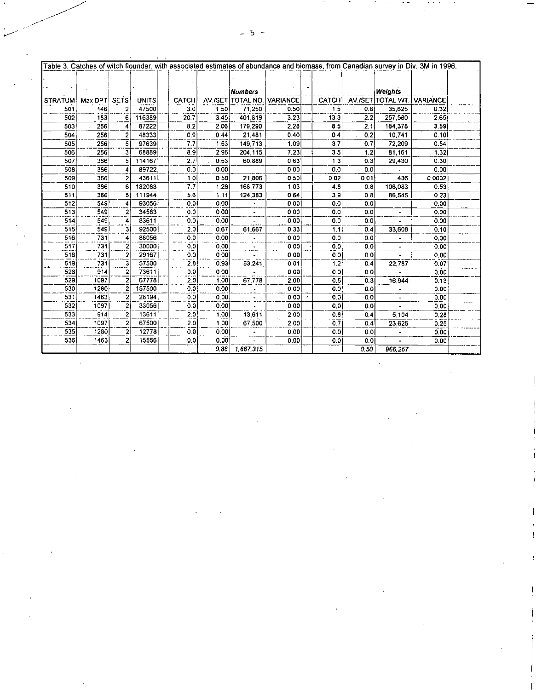|                |         |                         |              |               |         |                |                 |              |      |                            | Table 3. Catches of witch flounder, with associated estimates of abundance and biomass, from Canadian survey in Div. 3M in 1996. |  |
|----------------|---------|-------------------------|--------------|---------------|---------|----------------|-----------------|--------------|------|----------------------------|----------------------------------------------------------------------------------------------------------------------------------|--|
|                |         |                         |              |               |         |                |                 |              |      |                            |                                                                                                                                  |  |
|                |         |                         |              |               |         |                |                 |              |      |                            |                                                                                                                                  |  |
|                |         |                         |              |               |         | <b>Numbers</b> |                 |              |      | Weights                    |                                                                                                                                  |  |
| <b>STRATUM</b> | Max DPT | <b>SETS</b>             | <b>UNITS</b> | <b>CATCH!</b> | AV./SET | TOTAL NO.      | <b>VARIANCE</b> | <b>CATCH</b> |      | AV /SET TOTAL WT. VARIANCE |                                                                                                                                  |  |
| 501            | 146     |                         | 47500        | 3.0           | 1.50    | 71,250         | 0.50            | 1.5          | 0.8  | 35.625                     | 0.32                                                                                                                             |  |
| 502            | 183     | 6                       | 116389       | 20.7          | 3.45    | 401,819        | 3.23            | 13.3         | 2.2  | 257,580                    | 2.65                                                                                                                             |  |
| 503            | 256     | 4                       | 87222        | 8.2           | 2.06    | 179.290        | 2.28            | 8.5          | 2.1  | 184,378                    | 3.59                                                                                                                             |  |
| 504            | 256     | 2                       | 48333        | 0.9           | 0.44    | 21,481         | 0.40            | 0.4          | 0.2  | 10.741                     | 0.10                                                                                                                             |  |
| 505            | 256     | 51                      | 97639        | 7.7           | 1.53    | 149,713        | 1.09            | 3.7          | 0.7  | 72.209                     | 0.54                                                                                                                             |  |
| 506            | 256     | 3                       | 68889        | 8.9           | 2.96    | 204.115        | 7.23            | 3.5          | 1.2  | 81 161                     | 1.32                                                                                                                             |  |
| 507            | 366     | 5                       | 114167       | 2.7           | 0.53    | 60,889         | 0.63            | 1.3          | 0.3  | 29 430                     | 0.30                                                                                                                             |  |
| 508            | 366     | 4                       | 89722        | 0.0           | 0.00    |                | 0.00            | 0.0          | 0.0  |                            | 0.00                                                                                                                             |  |
| 509            | 366     | 2                       | 43611        | 1.0           | 0.50    | 21,806         | 0.50            | 0.02         | 0.01 | 436                        | 0.0002                                                                                                                           |  |
| 510            | 366     | 6                       | 132083       | 7.7           | 1.28    | 168,773        | 1.03            | 4.8          | 0.8  | 106 083                    | 0.53                                                                                                                             |  |
| 511            | 366     | 5                       | 111944       | 5.6           | 1.11    | 124,383        | 0.64            | 3.9          | 0.8  | 86,545                     | 0.23                                                                                                                             |  |
| 512            | 549     | 4                       | 93056        | 0.01          | 0.00    |                | 0.00            | 0.0          | 0.0  |                            | 0.00                                                                                                                             |  |
| 513            | 549     | 2                       | 34583        | 0.0           | 0.00    | $\blacksquare$ | 0.00            | 0.0          | 0.0  | $\blacksquare$             | 0.00                                                                                                                             |  |
| 514            | 549     | 4                       | 83611        | 0.0           | 0.00    |                | 0.00            | 0.0          | 0.0  |                            | 0.00                                                                                                                             |  |
| 515            | 549     | 31                      | 92500        | 2.0           | 0.67    | 61,667         | 0.33            | 1.1          | 0.4  | 33,608                     | 0.10                                                                                                                             |  |
| 516            | 731     | 4                       | 88056        | 0,0           | 0.00    |                | 0.00            | 0.0          | 0.0  |                            | 0.00                                                                                                                             |  |
| 517            | 731     | $\overline{\mathbf{2}}$ | 30000        | 0,0           | 0.00    |                | 0.00            | 0.0          | 0.0  |                            | 0.00                                                                                                                             |  |
| 518            | 731     | 2                       | 29167        | 0.0           | 0.00    |                | 0.00            | 0.0          | 0.0  |                            | 0.00                                                                                                                             |  |
| 519            | 731     | 3                       | 57500        | 2.8           | 0.93    | 53,241         | 0.01            | 1.2          | 0.4  | 22,787                     | 0.07                                                                                                                             |  |
| 528            | 914     | $\overline{2}$          | 73611        | 0.0           | 0.00    |                | 0.00            | 0.0          | 0.0  |                            | 0.00                                                                                                                             |  |
| 529            | 1097    | $\overline{2}$          | 67778        | 2.0           | 1.00    | 67,778         | 2.00            | 0.5          | 0.3  | 16 944                     | 0.13                                                                                                                             |  |
| 530            | 1280    | 2                       | 157500       | 0.0           | 0.00    |                | 0.00            | 0.0          | 0.0  |                            | 0.00                                                                                                                             |  |

ς

 $13,611$ 

67,500

.

 $\frac{1}{1,667,315}$ 

 $\overline{0.00}$ 

 $0.00$ 

 $2.00$ 

 $2.00$ 

 $0.00$ 

 $0.00$ 

÷

 $\overline{0.0}$ 

 $\overline{0.0}$ 

 $0.4$ 

 $0.4$ 

 $\overline{0.0}$ 

 $\overline{0.0}$ 

 $\overline{0.50}$ 

 $\overline{0.0}$ 

 $0,0$ 

 $\overline{0.8}$ 

 $0.7$ 

 $0.0$ 

 $\overline{0.0}$ 

Ξ

Τ

 $5,104$ 

23,625

 $\bullet$ 

 $\overline{\phantom{a}}$ 

 $966, 257$ 

 $531$ 

 $532$ 

533

 $534$ 

 $\overline{535}$ 

536

1463

1097

 $914$ 

1097

 $1280$ 

 $1463$ 

 $\frac{2}{2}$ 

 $\overline{2}$ 

 $\frac{2}{2}$ 

 $28194$ 

33056

13611

67500

 $12778$ 

15556

 $\overline{0.0}$ 

 $\lceil \tilde{0} . \overline{0} \rceil$ 

 $\begin{bmatrix} 2.0 \\ 2.0 \\ 2.0 \end{bmatrix}$ 

 $\vert 0.0 \vert$ 

 $|0,0|$ 

 $0.00$ 

 $0.00$ 

 $|1,00|$ 

 $1,00$ 

 $0.00$ 

 $0.00$ 

 $0.86$ 

 $\overline{0.00}$ 

 $\overline{0.00}$ 

 $0.28$ 

 $0.25$ 

 $0.00$ 

 $0.00$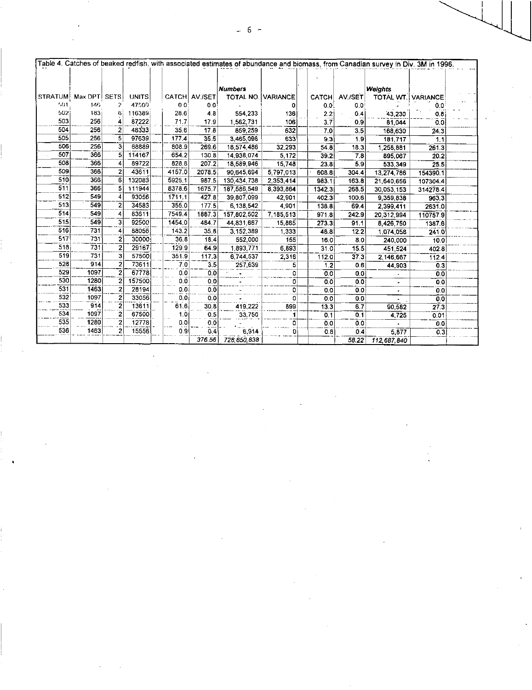|                       | Table 4. Catches of beaked redfish, with associated estimates of abundance and biomass, from Canadian survey in Div. 3M in 1996. |                     |              |  |                |               |                                             |           |  |              |         |                           |                   |  |
|-----------------------|----------------------------------------------------------------------------------------------------------------------------------|---------------------|--------------|--|----------------|---------------|---------------------------------------------|-----------|--|--------------|---------|---------------------------|-------------------|--|
|                       |                                                                                                                                  |                     |              |  |                |               |                                             |           |  |              |         |                           |                   |  |
|                       |                                                                                                                                  |                     |              |  |                |               |                                             |           |  |              |         |                           |                   |  |
|                       |                                                                                                                                  |                     |              |  |                |               |                                             |           |  |              |         |                           |                   |  |
| STRATUM Max DPTI SETS |                                                                                                                                  |                     | <b>UNITS</b> |  |                | CATCH AV /SET | <b>Numbers</b><br><b>TOTAL NO. VARIANCE</b> |           |  |              |         | Weights                   |                   |  |
| 1.01                  | 146.                                                                                                                             |                     | 47500        |  | 0 <sup>0</sup> | 0.0           |                                             |           |  | <b>CATCH</b> | AV /SET | <b>TOTAL WT. VARIANCE</b> |                   |  |
| 502                   | 183                                                                                                                              |                     | 116389       |  |                |               |                                             |           |  | 0.0          | 0.0     |                           | 00                |  |
| 503                   | 256                                                                                                                              |                     |              |  | 28.6           | 4.8           | 554 233                                     | 136       |  | 2.2          | 0.4     | 43,230                    | 0.8               |  |
|                       |                                                                                                                                  |                     | 87222        |  | 71.7           | 17.9          | 1.562.731                                   | 106       |  | 3.7          | 0.9     | 81.044                    | 00                |  |
| 504                   | 256                                                                                                                              | 2                   | 48333        |  | 35.6           | 17.8          | 859 259                                     | 632       |  | 7.0          | 3.5     | 168,630                   | 24.3              |  |
| 505                   | 256                                                                                                                              | 5                   | 97639        |  | 177.4          | 35.5          | 3,465.096                                   | 633       |  | 9.3          | 1.9     | 181,717                   | 1.1               |  |
| 506                   | 256                                                                                                                              | 3                   | 68889        |  | 808.9          | 269.6         | 18,574,486                                  | 32.293    |  | 54.8         | 18.3    | 1,258,881                 | 261.3             |  |
| 507                   | 366                                                                                                                              | 5                   | 114167       |  | 654.2          | 130.8         | 14,938,074                                  | 5.172     |  | 39.2         | 7.8     | 895,067                   | 20.2              |  |
| 508                   | 366                                                                                                                              |                     | 89722        |  | 828.8          | 207.2         | 18,589.946                                  | 15,748    |  | 23.8         | 5.9     | 533,349                   | 25.5              |  |
| 509                   | 366                                                                                                                              | 2                   | 43611        |  | 4157.0         | 2078.5        | 90,645.694                                  | 5,797,013 |  | 608.8        | 304.4   | 13,274,786                | 154390.1          |  |
| 510                   | 366                                                                                                                              | 6                   | 132083       |  | 5925.1         | 987.5         | 130.434 738                                 | 2,353,414 |  | 983.1        | 163.8   | 21,640,656                | 1073044           |  |
| 511                   | 366                                                                                                                              | 5                   | 111944       |  | 8378.6         | 1675.7        | 187,586 549                                 | 8,393,864 |  | 1342.3       | 268.5   | 30,053,153                | 3142784           |  |
| 512                   | 549                                                                                                                              |                     | 93056        |  | 1711.1         | 427.8         | 39,807,099                                  | 42 901    |  | 402.3        | 100.6   | 9,359,838                 | 963.3             |  |
| 513                   | 549                                                                                                                              | 2                   | 34583        |  | 355.0          | 177.5         | 6,138,542                                   | 4 9 0 1   |  | 138.8        | 69.4    | 2,399,411                 | 2631.0            |  |
| 514                   | 549                                                                                                                              |                     | 83611        |  | 7549.4         | 1887.3        | 157,802 502                                 | 7,185,513 |  | 971.8        | 242.9   | 20,312,994                | 110757.9          |  |
| 515                   | 549                                                                                                                              | 31                  | 92500        |  | 1454.0         | 484.7         | 44,831,667                                  | 15.865    |  | 273.3        | 91.1    | 8,426,750                 | 1387.6            |  |
| 516                   | 731                                                                                                                              | $\vert$             | 88056        |  | 143.2          | 35.8          | 3,152,389                                   | 1.333     |  | 48.8         | 12.2    | 1,074,058                 | 241.0             |  |
| 517                   | 731                                                                                                                              | 2                   | 30000        |  | 36.8           | 18.4          | 552.000                                     | 155       |  | 16.0         | 8.0     | 240,000                   | 10.0              |  |
| 518                   | 731                                                                                                                              | 2                   | 29167        |  | 129.9          | 64.9          | 1,893.771                                   | 6.893     |  | 31.0         | 15.5    | 451,524                   | 402.8             |  |
| 519                   | 731                                                                                                                              | 3                   | 57500        |  | 351.9          | 117.3         | 6,744.537                                   | 2.316     |  | 112.0        | 37.3    | 2,146,667                 | 112.4             |  |
| 528                   | 914                                                                                                                              | $\overline{2}$      | 73611        |  | 7.0            | 3.5           | 257 639                                     | 5         |  | 1.2          | 0.6     | 44,903                    | 0.3               |  |
| 529                   | 1097                                                                                                                             |                     | 67778        |  | 0.0            | 0.0           |                                             | 0         |  | 0.0          | 0,0     |                           | 0 <sub>0</sub>    |  |
| 530                   | 1280                                                                                                                             |                     | 157500       |  | 0.0            | 0.0           |                                             | 0         |  | 0.0          | 0,0     |                           | $\overline{0}0$   |  |
| 531                   | 1463                                                                                                                             | $\overline{a}$      | 28194        |  | 0.0            | 0.0           |                                             | o         |  | 0.0          | 0.0     |                           | 0 <sub>0</sub>    |  |
| 532                   | 1097                                                                                                                             | 2                   | 33056        |  | 0.0            | 0.0           |                                             | 0         |  | 0.0          | 0,0     |                           | 00                |  |
| 533                   | 914                                                                                                                              | 2                   | 13611        |  | 61.6           | 30.8          | 419 222                                     | 899       |  | 13.3         | 6.7     | 90,582                    | $\overline{27.3}$ |  |
| 534                   | 1097                                                                                                                             | $\ddot{\mathbf{2}}$ | 67500        |  | 1.0            | 0.5           | 33,750                                      |           |  | 0,1          | 0,1     | 4,725                     | 0.01              |  |
| 535                   | 1280                                                                                                                             |                     | 12778        |  | 0.0            | 0.0           |                                             | 0         |  | 0.0          | 0.0     |                           | 0.0               |  |
| 536                   | 1463                                                                                                                             | 2                   | 15556        |  | 0.9            | 0,4           | 6.914                                       | O         |  | 0.8          | 0.4     | 5,877                     | 0.3               |  |
|                       |                                                                                                                                  |                     |              |  |                | 376.56        | 728,850,838                                 |           |  |              | 58.22   | 112.687.840               |                   |  |

 $\sim 10^{-1}$ 

 $\sim 10^{-1}$ 

 $\epsilon$ 

 $\label{eq:2} \frac{1}{2} \int_{\mathbb{R}^3} \frac{1}{\sqrt{2}} \, \frac{1}{\sqrt{2}} \, \frac{1}{\sqrt{2}} \, \frac{1}{\sqrt{2}} \, \frac{1}{\sqrt{2}} \, \frac{1}{\sqrt{2}} \, \frac{1}{\sqrt{2}} \, \frac{1}{\sqrt{2}} \, \frac{1}{\sqrt{2}} \, \frac{1}{\sqrt{2}} \, \frac{1}{\sqrt{2}} \, \frac{1}{\sqrt{2}} \, \frac{1}{\sqrt{2}} \, \frac{1}{\sqrt{2}} \, \frac{1}{\sqrt{2}} \, \frac{1}{\sqrt{2}} \, \frac$ 

 $\mathcal{A}$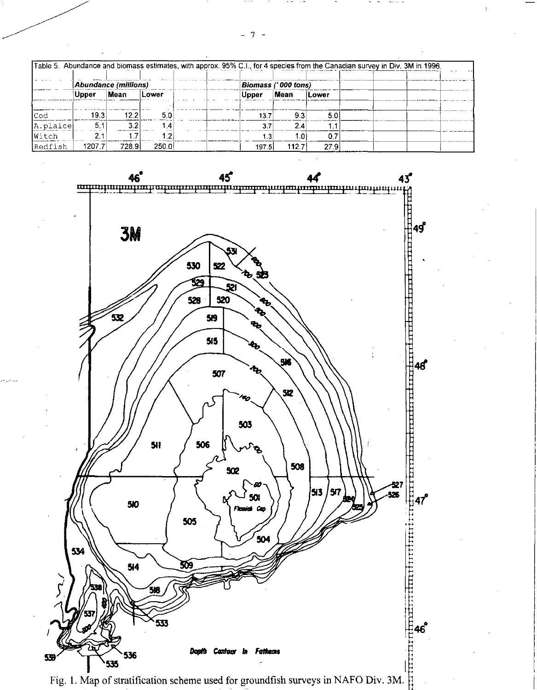|          |        |                             |                    | Table 5. Abundance and biomass estimates, with approx. 95% C.I., for 4 species from the Canadian survey in Div. 3M in 1996. |             |              |  |  |
|----------|--------|-----------------------------|--------------------|-----------------------------------------------------------------------------------------------------------------------------|-------------|--------------|--|--|
|          |        | <b>Abundance (millions)</b> |                    | Biomass ('000 tons)                                                                                                         |             |              |  |  |
|          | ∣Upper | <b>Mean</b>                 | <b>Lower</b>       | Upper:                                                                                                                      | <b>Mean</b> | <b>Lower</b> |  |  |
| lCod     | 19.3   | 12.2                        | 5.0                | 13.7                                                                                                                        | 93          | 5.0          |  |  |
| A.plaice | 5.1    |                             |                    |                                                                                                                             | 24          |              |  |  |
| Witch    |        |                             |                    | 1.3                                                                                                                         | .O          | 0.7          |  |  |
| Redfish  | 1207.7 | 728.9                       | 250.0 <sup>1</sup> | 197.5                                                                                                                       | 112.7       | 27 9         |  |  |



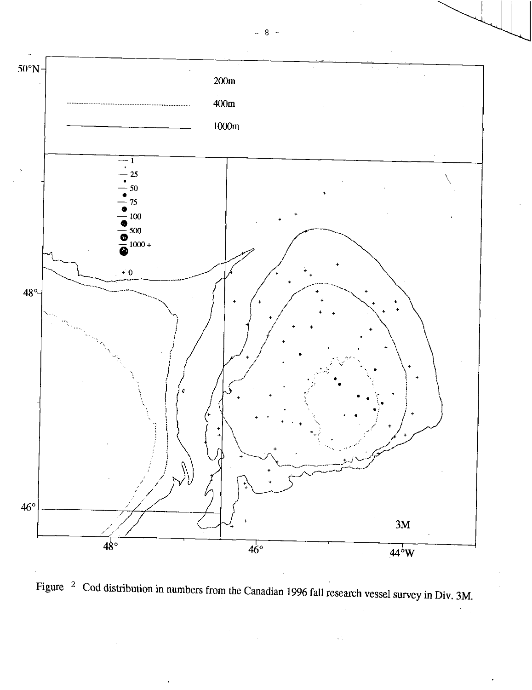

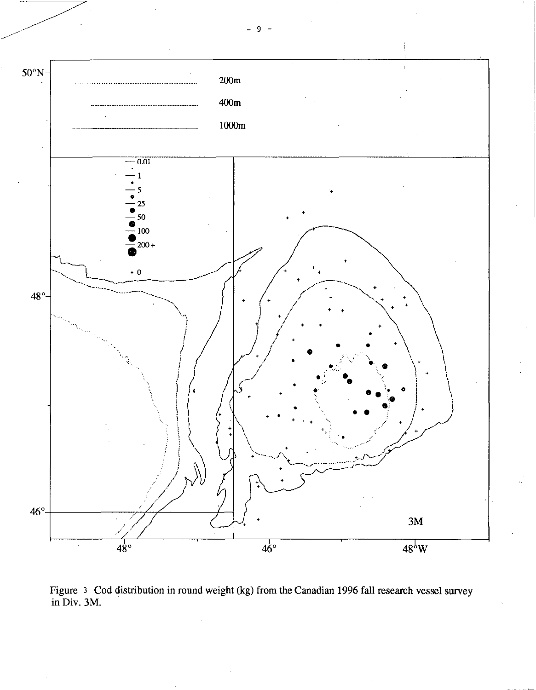

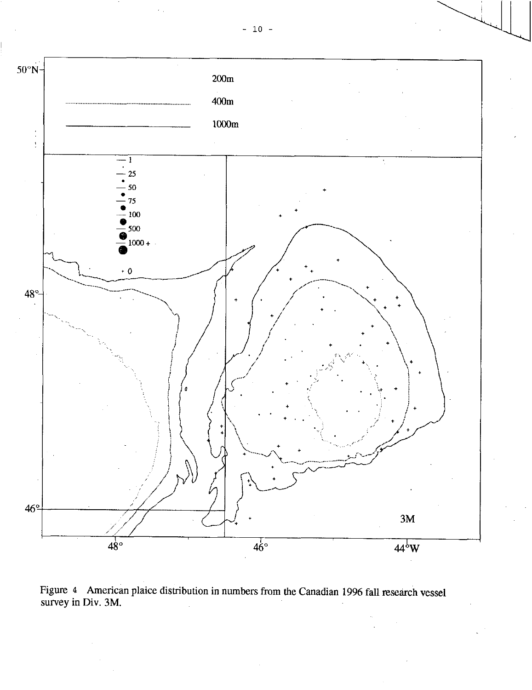

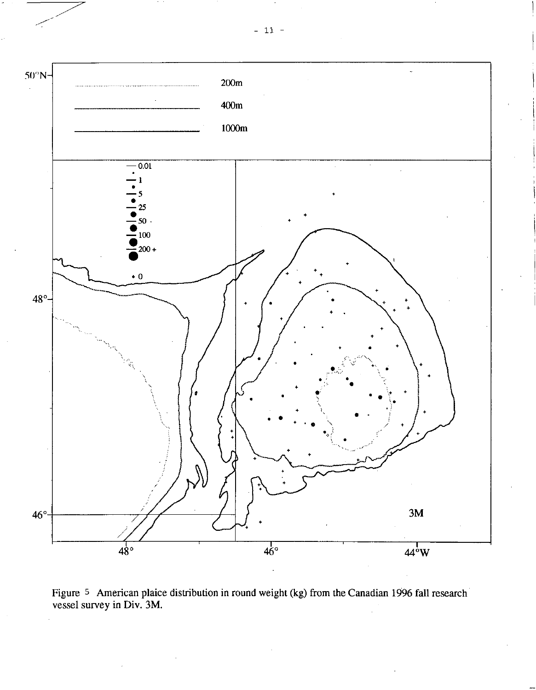



 $-11$  -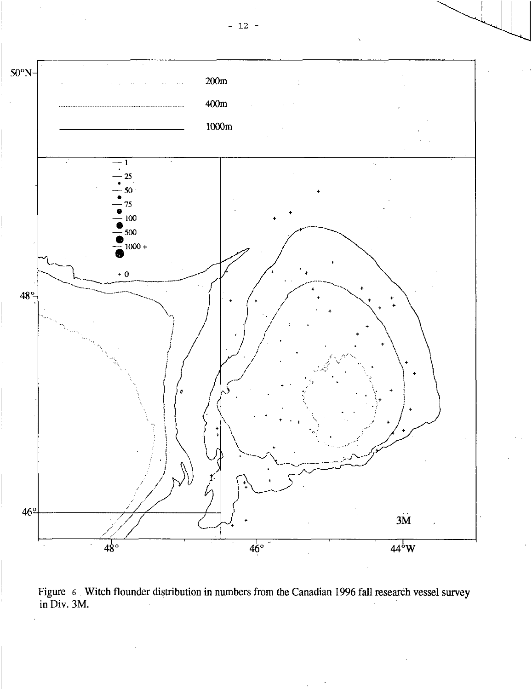

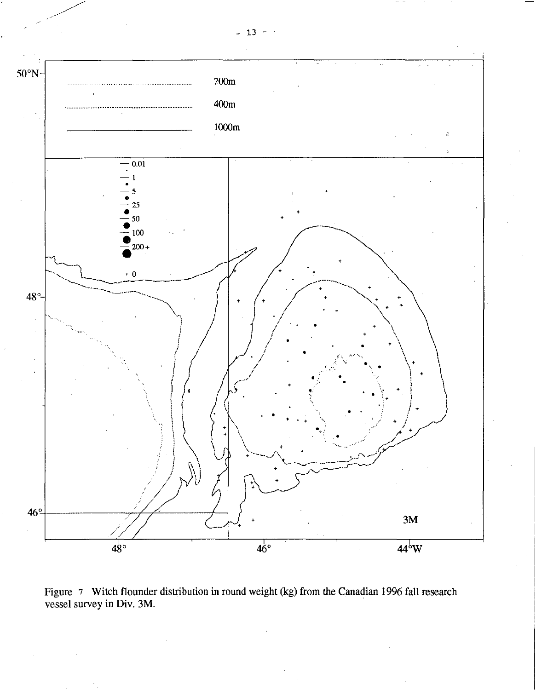

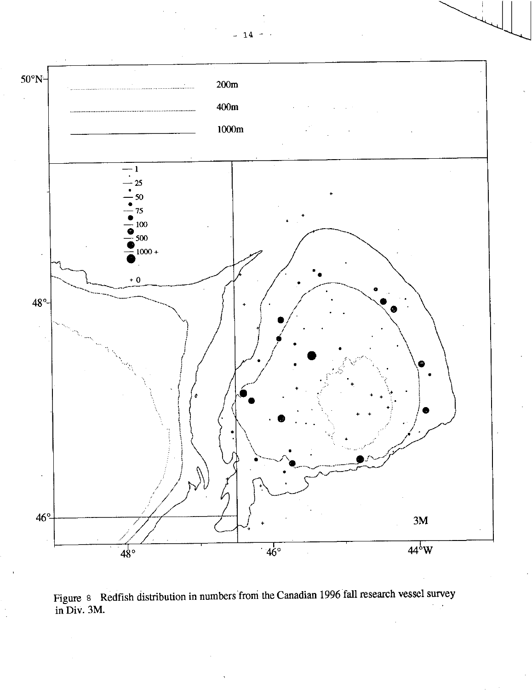



 $-14$  -